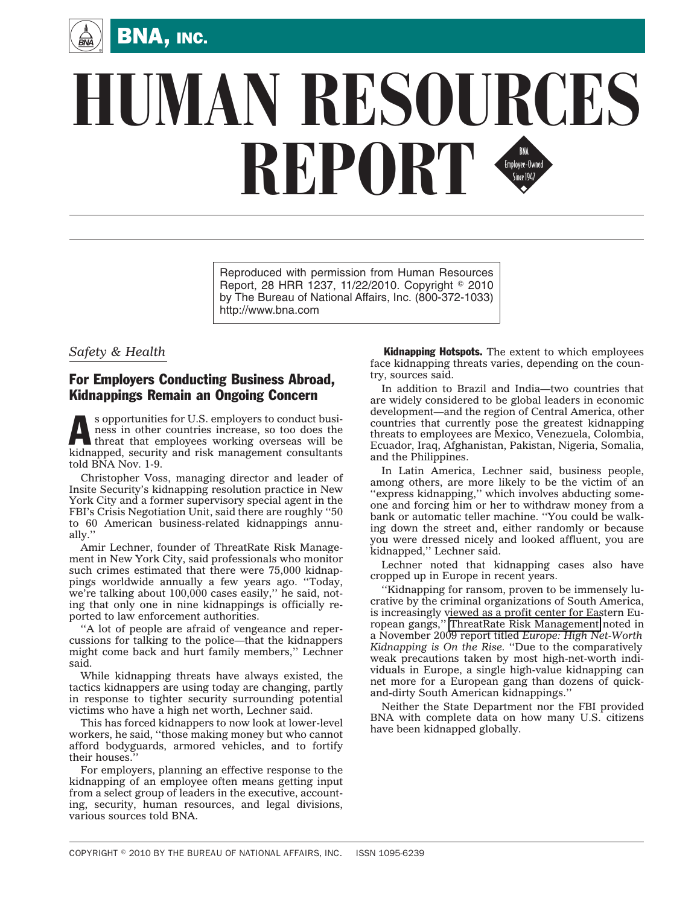

## **HUMAN RESOURCES** REPORT FIND SINCE STATE STATE SINCE STATE STATE STATE STATE STATE STATE STATE STATE STATE STATE STATE STATE STATE STATE STATE STATE STATE STATE STATE STATE STATE STATE STATE STATE STATE STATE STATE STATE STATE STATE STATE

Reproduced with permission from Human Resources Report, 28 HRR 1237, 11/22/2010. Copyright © 2010 by The Bureau of National Affairs, Inc. (800-372-1033) http://www.bna.com

## *Safety & Health*

## For Employers Conducting Business Abroad, Kidnappings Remain an Ongoing Concern

s opportunities for U.S. employers to conduct busi-<br>hess in other countries increase, so too does the<br>threat that employees working overseas will be<br>kidnamed with one will be ness in other countries increase, so too does the kidnapped, security and risk management consultants told BNA Nov. 1-9.

Christopher Voss, managing director and leader of Insite Security's kidnapping resolution practice in New York City and a former supervisory special agent in the FBI's Crisis Negotiation Unit, said there are roughly ''50 to 60 American business-related kidnappings annually.''

Amir Lechner, founder of ThreatRate Risk Management in New York City, said professionals who monitor such crimes estimated that there were 75,000 kidnappings worldwide annually a few years ago. ''Today, we're talking about 100,000 cases easily,'' he said, noting that only one in nine kidnappings is officially reported to law enforcement authorities.

''A lot of people are afraid of vengeance and repercussions for talking to the police—that the kidnappers might come back and hurt family members,'' Lechner said.

While kidnapping threats have always existed, the tactics kidnappers are using today are changing, partly in response to tighter security surrounding potential victims who have a high net worth, Lechner said.

This has forced kidnappers to now look at lower-level workers, he said, ''those making money but who cannot afford bodyguards, armored vehicles, and to fortify their houses.

For employers, planning an effective response to the kidnapping of an employee often means getting input from a select group of leaders in the executive, accounting, security, human resources, and legal divisions, various sources told BNA.

**Kidnapping Hotspots.** The extent to which employees face kidnapping threats varies, depending on the country, sources said.

In addition to Brazil and India—two countries that are widely considered to be global leaders in economic development—and the region of Central America, other countries that currently pose the greatest kidnapping threats to employees are Mexico, Venezuela, Colombia, Ecuador, Iraq, Afghanistan, Pakistan, Nigeria, Somalia, and the Philippines.

In Latin America, Lechner said, business people, among others, are more likely to be the victim of an "express kidnapping," which involves abducting someone and forcing him or her to withdraw money from a bank or automatic teller machine. ''You could be walking down the street and, either randomly or because you were dressed nicely and looked affluent, you are kidnapped,'' Lechner said.

Lechner noted that kidnapping cases also have cropped up in Europe in recent years.

''Kidnapping for ransom, proven to be immensely lucrative by the criminal organizations of South America, is increasingly viewed as a profit center for Eastern European gangs,'' [ThreatRate Risk Management](http://www.threatrate.com/MAIN/tabid/36/Default.aspx) noted in a November 2009 report titled *Europe: High Net-Worth Kidnapping is On the Rise.* ''Due to the comparatively weak precautions taken by most high-net-worth individuals in Europe, a single high-value kidnapping can net more for a European gang than dozens of quickand-dirty South American kidnappings.''

Neither the State Department nor the FBI provided BNA with complete data on how many U.S. citizens have been kidnapped globally.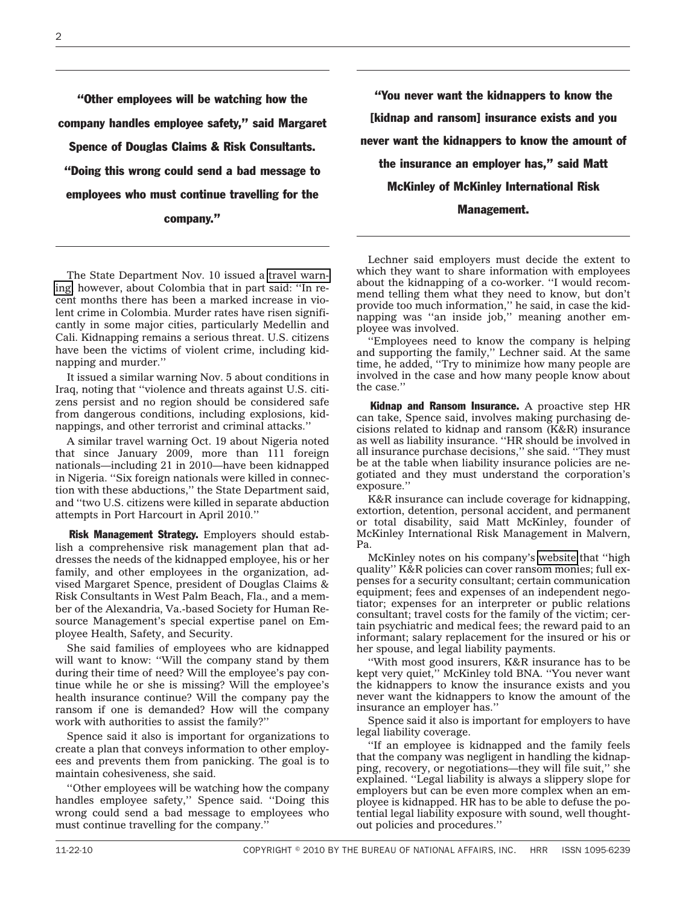''Other employees will be watching how the company handles employee safety,'' said Margaret Spence of Douglas Claims & Risk Consultants. ''Doing this wrong could send a bad message to employees who must continue travelling for the company.''

The State Department Nov. 10 issued a [travel warn](http://www.travel.state.gov/travel/cis_pa_tw/tw/tw_1764.html)[ing,](http://www.travel.state.gov/travel/cis_pa_tw/tw/tw_1764.html) however, about Colombia that in part said: ''In recent months there has been a marked increase in violent crime in Colombia. Murder rates have risen significantly in some major cities, particularly Medellin and Cali. Kidnapping remains a serious threat. U.S. citizens have been the victims of violent crime, including kidnapping and murder.''

It issued a similar warning Nov. 5 about conditions in Iraq, noting that ''violence and threats against U.S. citizens persist and no region should be considered safe from dangerous conditions, including explosions, kidnappings, and other terrorist and criminal attacks.''

A similar travel warning Oct. 19 about Nigeria noted that since January 2009, more than 111 foreign nationals—including 21 in 2010—have been kidnapped in Nigeria. ''Six foreign nationals were killed in connection with these abductions,'' the State Department said, and ''two U.S. citizens were killed in separate abduction attempts in Port Harcourt in April 2010.''

Risk Management Strategy. Employers should establish a comprehensive risk management plan that addresses the needs of the kidnapped employee, his or her family, and other employees in the organization, advised Margaret Spence, president of Douglas Claims & Risk Consultants in West Palm Beach, Fla., and a member of the Alexandria, Va.-based Society for Human Resource Management's special expertise panel on Employee Health, Safety, and Security.

She said families of employees who are kidnapped will want to know: ''Will the company stand by them during their time of need? Will the employee's pay continue while he or she is missing? Will the employee's health insurance continue? Will the company pay the ransom if one is demanded? How will the company work with authorities to assist the family?''

Spence said it also is important for organizations to create a plan that conveys information to other employees and prevents them from panicking. The goal is to maintain cohesiveness, she said.

''Other employees will be watching how the company handles employee safety,'' Spence said. ''Doing this wrong could send a bad message to employees who must continue travelling for the company.''

''You never want the kidnappers to know the [kidnap and ransom] insurance exists and you never want the kidnappers to know the amount of the insurance an employer has,'' said Matt McKinley of McKinley International Risk Management.

Lechner said employers must decide the extent to which they want to share information with employees about the kidnapping of a co-worker. ''I would recommend telling them what they need to know, but don't provide too much information,'' he said, in case the kidnapping was ''an inside job,'' meaning another employee was involved.

''Employees need to know the company is helping and supporting the family,'' Lechner said. At the same time, he added, ''Try to minimize how many people are involved in the case and how many people know about the case.''

Kidnap and Ransom Insurance. A proactive step HR can take, Spence said, involves making purchasing decisions related to kidnap and ransom (K&R) insurance as well as liability insurance. ''HR should be involved in all insurance purchase decisions,'' she said. ''They must be at the table when liability insurance policies are negotiated and they must understand the corporation's exposure.''

K&R insurance can include coverage for kidnapping, extortion, detention, personal accident, and permanent or total disability, said Matt McKinley, founder of McKinley International Risk Management in Malvern, Pa.

McKinley notes on his company's [website](http://www.mckinleyinternational.com/kidnap-and-ransom-insurance.html) that ''high quality'' K&R policies can cover ransom monies; full expenses for a security consultant; certain communication equipment; fees and expenses of an independent negotiator; expenses for an interpreter or public relations consultant; travel costs for the family of the victim; certain psychiatric and medical fees; the reward paid to an informant; salary replacement for the insured or his or her spouse, and legal liability payments.

''With most good insurers, K&R insurance has to be kept very quiet,'' McKinley told BNA. ''You never want the kidnappers to know the insurance exists and you never want the kidnappers to know the amount of the insurance an employer has.''

Spence said it also is important for employers to have legal liability coverage.

''If an employee is kidnapped and the family feels that the company was negligent in handling the kidnapping, recovery, or negotiations—they will file suit,'' she explained. ''Legal liability is always a slippery slope for employers but can be even more complex when an employee is kidnapped. HR has to be able to defuse the potential legal liability exposure with sound, well thoughtout policies and procedures.''